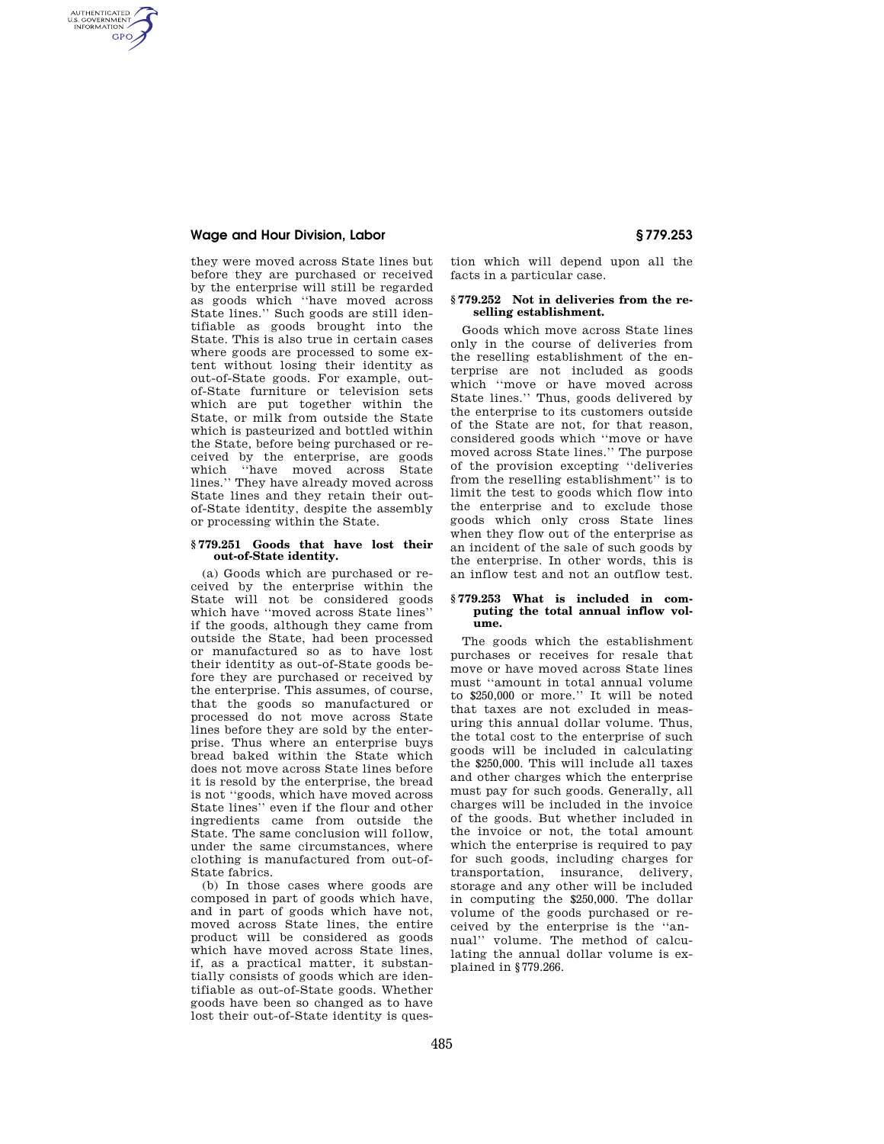# **Wage and Hour Division, Labor § 779.253**

AUTHENTICATED<br>U.S. GOVERNMENT<br>INFORMATION **GPO** 

> they were moved across State lines but before they are purchased or received by the enterprise will still be regarded as goods which ''have moved across State lines.'' Such goods are still identifiable as goods brought into the State. This is also true in certain cases where goods are processed to some extent without losing their identity as out-of-State goods. For example, outof-State furniture or television sets which are put together within the State, or milk from outside the State which is pasteurized and bottled within the State, before being purchased or received by the enterprise, are goods which ''have moved across State lines.'' They have already moved across State lines and they retain their outof-State identity, despite the assembly or processing within the State.

### **§ 779.251 Goods that have lost their out-of-State identity.**

(a) Goods which are purchased or received by the enterprise within the State will not be considered goods which have ''moved across State lines'' if the goods, although they came from outside the State, had been processed or manufactured so as to have lost their identity as out-of-State goods before they are purchased or received by the enterprise. This assumes, of course, that the goods so manufactured or processed do not move across State lines before they are sold by the enterprise. Thus where an enterprise buys bread baked within the State which does not move across State lines before it is resold by the enterprise, the bread is not ''goods, which have moved across State lines'' even if the flour and other ingredients came from outside the State. The same conclusion will follow, under the same circumstances, where clothing is manufactured from out-of-State fabrics.

(b) In those cases where goods are composed in part of goods which have, and in part of goods which have not, moved across State lines, the entire product will be considered as goods which have moved across State lines, if, as a practical matter, it substantially consists of goods which are identifiable as out-of-State goods. Whether goods have been so changed as to have lost their out-of-State identity is question which will depend upon all the facts in a particular case.

# **§ 779.252 Not in deliveries from the reselling establishment.**

Goods which move across State lines only in the course of deliveries from the reselling establishment of the enterprise are not included as goods which ''move or have moved across State lines.'' Thus, goods delivered by the enterprise to its customers outside of the State are not, for that reason, considered goods which ''move or have moved across State lines.'' The purpose of the provision excepting ''deliveries from the reselling establishment'' is to limit the test to goods which flow into the enterprise and to exclude those goods which only cross State lines when they flow out of the enterprise as an incident of the sale of such goods by the enterprise. In other words, this is an inflow test and not an outflow test.

### **§ 779.253 What is included in computing the total annual inflow volume.**

The goods which the establishment purchases or receives for resale that move or have moved across State lines must ''amount in total annual volume to \$250,000 or more.'' It will be noted that taxes are not excluded in measuring this annual dollar volume. Thus, the total cost to the enterprise of such goods will be included in calculating the \$250,000. This will include all taxes and other charges which the enterprise must pay for such goods. Generally, all charges will be included in the invoice of the goods. But whether included in the invoice or not, the total amount which the enterprise is required to pay for such goods, including charges for transportation, insurance, delivery, storage and any other will be included in computing the \$250,000. The dollar volume of the goods purchased or received by the enterprise is the ''annual'' volume. The method of calculating the annual dollar volume is explained in §779.266.